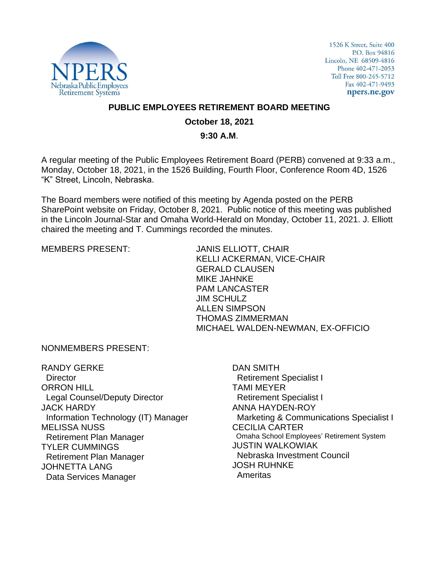

1526 K Street, Suite 400 P.O. Box 94816 Lincoln, NE 68509-4816 Phone 402-471-2053 Toll Free 800-245-5712 Fax 402-471-9493 npers.ne.gov

## **PUBLIC EMPLOYEES RETIREMENT BOARD MEETING**

## **October 18, 2021**

## **9:30 A.M**.

A regular meeting of the Public Employees Retirement Board (PERB) convened at 9:33 a.m., Monday, October 18, 2021, in the 1526 Building, Fourth Floor, Conference Room 4D, 1526 "K" Street, Lincoln, Nebraska.

The Board members were notified of this meeting by Agenda posted on the PERB SharePoint website on Friday, October 8, 2021. Public notice of this meeting was published in the Lincoln Journal-Star and Omaha World-Herald on Monday, October 11, 2021. J. Elliott chaired the meeting and T. Cummings recorded the minutes.

MEMBERS PRESENT: JANIS ELLIOTT, CHAIR KELLI ACKERMAN, VICE-CHAIR GERALD CLAUSEN MIKE JAHNKE PAM LANCASTER JIM SCHULZ ALLEN SIMPSON THOMAS ZIMMERMAN MICHAEL WALDEN-NEWMAN, EX-OFFICIO

NONMEMBERS PRESENT:

RANDY GERKE **Director** ORRON HILL Legal Counsel/Deputy Director JACK HARDY Information Technology (IT) Manager MELISSA NUSS Retirement Plan Manager TYLER CUMMINGS Retirement Plan Manager JOHNETTA LANG Data Services Manager

DAN SMITH Retirement Specialist I TAMI MEYER Retirement Specialist I ANNA HAYDEN-ROY Marketing & Communications Specialist I CECILIA CARTER Omaha School Employees' Retirement System JUSTIN WALKOWIAK Nebraska Investment Council JOSH RUHNKE Ameritas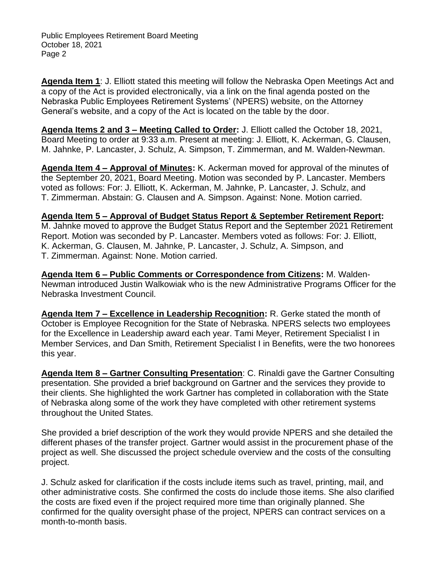Public Employees Retirement Board Meeting October 18, 2021 Page 2

**Agenda Item 1**: J. Elliott stated this meeting will follow the Nebraska Open Meetings Act and a copy of the Act is provided electronically, via a link on the final agenda posted on the Nebraska Public Employees Retirement Systems' (NPERS) website, on the Attorney General's website, and a copy of the Act is located on the table by the door.

**Agenda Items 2 and 3 – Meeting Called to Order:** J. Elliott called the October 18, 2021, Board Meeting to order at 9:33 a.m. Present at meeting: J. Elliott, K. Ackerman, G. Clausen, M. Jahnke, P. Lancaster, J. Schulz, A. Simpson, T. Zimmerman, and M. Walden-Newman.

**Agenda Item 4 – Approval of Minutes:** K. Ackerman moved for approval of the minutes of the September 20, 2021, Board Meeting. Motion was seconded by P. Lancaster. Members voted as follows: For: J. Elliott, K. Ackerman, M. Jahnke, P. Lancaster, J. Schulz, and T. Zimmerman. Abstain: G. Clausen and A. Simpson. Against: None. Motion carried.

**Agenda Item 5 – Approval of Budget Status Report & September Retirement Report:**  M. Jahnke moved to approve the Budget Status Report and the September 2021 Retirement Report. Motion was seconded by P. Lancaster. Members voted as follows: For: J. Elliott, K. Ackerman, G. Clausen, M. Jahnke, P. Lancaster, J. Schulz, A. Simpson, and T. Zimmerman. Against: None. Motion carried.

**Agenda Item 6 – Public Comments or Correspondence from Citizens:** M. Walden-Newman introduced Justin Walkowiak who is the new Administrative Programs Officer for the Nebraska Investment Council.

**Agenda Item 7 – Excellence in Leadership Recognition:** R. Gerke stated the month of October is Employee Recognition for the State of Nebraska. NPERS selects two employees for the Excellence in Leadership award each year. Tami Meyer, Retirement Specialist I in Member Services, and Dan Smith, Retirement Specialist I in Benefits, were the two honorees this year.

**Agenda Item 8 – Gartner Consulting Presentation**: C. Rinaldi gave the Gartner Consulting presentation. She provided a brief background on Gartner and the services they provide to their clients. She highlighted the work Gartner has completed in collaboration with the State of Nebraska along some of the work they have completed with other retirement systems throughout the United States.

She provided a brief description of the work they would provide NPERS and she detailed the different phases of the transfer project. Gartner would assist in the procurement phase of the project as well. She discussed the project schedule overview and the costs of the consulting project.

J. Schulz asked for clarification if the costs include items such as travel, printing, mail, and other administrative costs. She confirmed the costs do include those items. She also clarified the costs are fixed even if the project required more time than originally planned. She confirmed for the quality oversight phase of the project, NPERS can contract services on a month-to-month basis.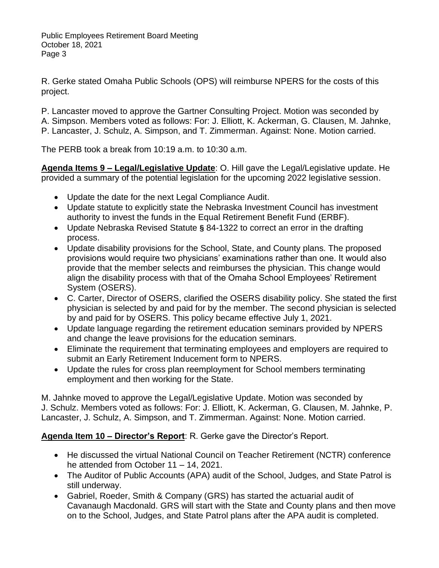R. Gerke stated Omaha Public Schools (OPS) will reimburse NPERS for the costs of this project.

P. Lancaster moved to approve the Gartner Consulting Project. Motion was seconded by A. Simpson. Members voted as follows: For: J. Elliott, K. Ackerman, G. Clausen, M. Jahnke, P. Lancaster, J. Schulz, A. Simpson, and T. Zimmerman. Against: None. Motion carried.

The PERB took a break from 10:19 a.m. to 10:30 a.m.

**Agenda Items 9 – Legal/Legislative Update**: O. Hill gave the Legal/Legislative update. He provided a summary of the potential legislation for the upcoming 2022 legislative session.

- Update the date for the next Legal Compliance Audit.
- Update statute to explicitly state the Nebraska Investment Council has investment authority to invest the funds in the Equal Retirement Benefit Fund (ERBF).
- Update Nebraska Revised Statute **§** 84-1322 to correct an error in the drafting process.
- Update disability provisions for the School, State, and County plans. The proposed provisions would require two physicians' examinations rather than one. It would also provide that the member selects and reimburses the physician. This change would align the disability process with that of the Omaha School Employees' Retirement System (OSERS).
- C. Carter, Director of OSERS, clarified the OSERS disability policy. She stated the first physician is selected by and paid for by the member. The second physician is selected by and paid for by OSERS. This policy became effective July 1, 2021.
- Update language regarding the retirement education seminars provided by NPERS and change the leave provisions for the education seminars.
- Eliminate the requirement that terminating employees and employers are required to submit an Early Retirement Inducement form to NPERS.
- Update the rules for cross plan reemployment for School members terminating employment and then working for the State.

M. Jahnke moved to approve the Legal/Legislative Update. Motion was seconded by J. Schulz. Members voted as follows: For: J. Elliott, K. Ackerman, G. Clausen, M. Jahnke, P. Lancaster, J. Schulz, A. Simpson, and T. Zimmerman. Against: None. Motion carried.

**Agenda Item 10 – Director's Report**: R. Gerke gave the Director's Report.

- He discussed the virtual National Council on Teacher Retirement (NCTR) conference he attended from October 11 – 14, 2021.
- The Auditor of Public Accounts (APA) audit of the School, Judges, and State Patrol is still underway.
- Gabriel, Roeder, Smith & Company (GRS) has started the actuarial audit of Cavanaugh Macdonald. GRS will start with the State and County plans and then move on to the School, Judges, and State Patrol plans after the APA audit is completed.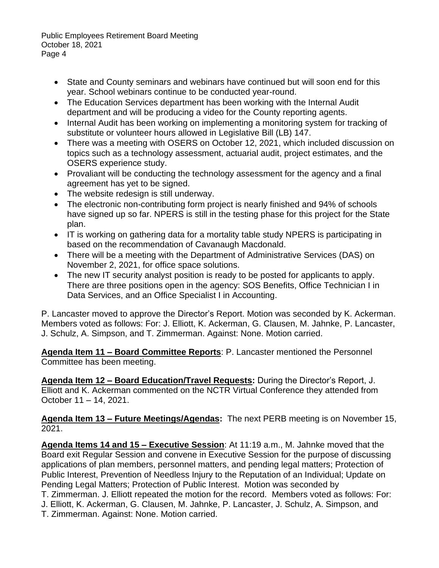Public Employees Retirement Board Meeting October 18, 2021 Page 4

- State and County seminars and webinars have continued but will soon end for this year. School webinars continue to be conducted year-round.
- The Education Services department has been working with the Internal Audit department and will be producing a video for the County reporting agents.
- Internal Audit has been working on implementing a monitoring system for tracking of substitute or volunteer hours allowed in Legislative Bill (LB) 147.
- There was a meeting with OSERS on October 12, 2021, which included discussion on topics such as a technology assessment, actuarial audit, project estimates, and the OSERS experience study.
- Provaliant will be conducting the technology assessment for the agency and a final agreement has yet to be signed.
- The website redesign is still underway.
- The electronic non-contributing form project is nearly finished and 94% of schools have signed up so far. NPERS is still in the testing phase for this project for the State plan.
- IT is working on gathering data for a mortality table study NPERS is participating in based on the recommendation of Cavanaugh Macdonald.
- There will be a meeting with the Department of Administrative Services (DAS) on November 2, 2021, for office space solutions.
- The new IT security analyst position is ready to be posted for applicants to apply. There are three positions open in the agency: SOS Benefits, Office Technician I in Data Services, and an Office Specialist I in Accounting.

P. Lancaster moved to approve the Director's Report. Motion was seconded by K. Ackerman. Members voted as follows: For: J. Elliott, K. Ackerman, G. Clausen, M. Jahnke, P. Lancaster, J. Schulz, A. Simpson, and T. Zimmerman. Against: None. Motion carried.

**Agenda Item 11 – Board Committee Reports**: P. Lancaster mentioned the Personnel Committee has been meeting.

**Agenda Item 12 – Board Education/Travel Requests:** During the Director's Report, J. Elliott and K. Ackerman commented on the NCTR Virtual Conference they attended from October 11 – 14, 2021.

**Agenda Item 13 – Future Meetings/Agendas:** The next PERB meeting is on November 15, 2021.

**Agenda Items 14 and 15 – Executive Session**: At 11:19 a.m., M. Jahnke moved that the Board exit Regular Session and convene in Executive Session for the purpose of discussing applications of plan members, personnel matters, and pending legal matters; Protection of Public Interest, Prevention of Needless Injury to the Reputation of an Individual; Update on Pending Legal Matters; Protection of Public Interest. Motion was seconded by T. Zimmerman. J. Elliott repeated the motion for the record. Members voted as follows: For: J. Elliott, K. Ackerman, G. Clausen, M. Jahnke, P. Lancaster, J. Schulz, A. Simpson, and T. Zimmerman. Against: None. Motion carried.